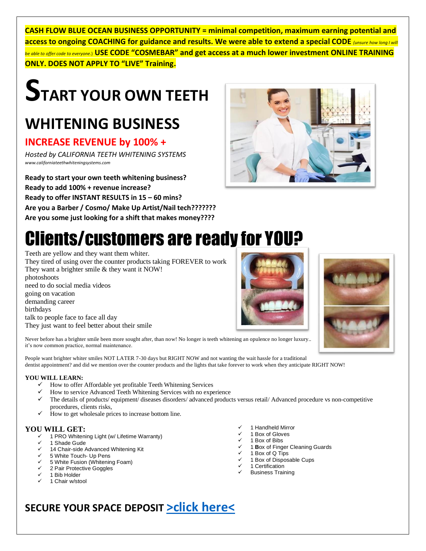**CASH FLOW BLUE OCEAN BUSINESS OPPORTUNITY = minimal competition, maximum earning potential and access to ongoing COACHING for guidance and results. We were able to extend a special CODE** *(unsure how long I will be able to offer code to everyone.*) **USE CODE "COSMEBAR" and get access at a much lower investment ONLINE TRAINING ONLY. DOES NOT APPLY TO "LIVE" Training.**

# **START YOUR OWN TEETH**

### **WHITENING BUSINESS**

### **INCREASE REVENUE by 100% +**

*Hosted by CALIFORNIA TEETH WHITENING SYSTEMS www.californiateethwhiteningsystems.com*

**Ready to start your own teeth whitening business? Ready to add 100% + revenue increase? Ready to offer INSTANT RESULTS in 15 – 60 mins? Are you a Barber / Cosmo/ Make Up Artist/Nail tech???????**

**Are you some just looking for a shift that makes money????**

## Clients/customers are ready for YOU?

Teeth are yellow and they want them whiter.

They tired of using over the counter products taking FOREVER to work They want a brighter smile & they want it NOW! photoshoots need to do social media videos going on vacation demanding career birthdays talk to people face to face all day They just want to feel better about their smile

Never before has a brighter smile been more sought after, than now! No longer is teeth whitening an opulence no longer luxury.. it's now common practice, normal maintenance.

People want brighter whiter smiles NOT LATER 7-30 days but RIGHT NOW and not wanting the wait hassle for a traditional dentist appointment? and did we mention over the counter products and the lights that take forever to work when they anticipate RIGHT NOW!

#### **YOU WILL LEARN:**

- $\checkmark$  How to offer Affordable yet profitable Teeth Whitening Services
- ✓ How to service Advanced Teeth Whitening Services with no experience
- ✓ The details of products/ equipment/ diseases disorders/ advanced products versus retail/ Advanced procedure vs non-competitive procedures, clients risks,
- $\checkmark$  How to get wholesale prices to increase bottom line.

#### **YOU WILL GET:**

- 1 PRO [Whitening Light \(w/ Lifetime Warranty\)](https://beamingwhite.com/products/lights/futura-2400-teeth-whitening-light/)
- ✓ 1 Shade Gude
- ✓ 14 [Chair-side Advanced Whitening](https://beamingwhite.com/products/professional-kits/advanced-whitening-kit/) Kit
- ✓ 5 [White Touch-](https://beamingwhite.com/products/pens/forever-white/) Up Pens
- ✓ 5 [White Fusion \(Whitening Foam\)](https://beamingwhite.com/products/home-whitening/daily-white/)
- 2 [Pair Protective Goggles](https://beamingwhite.com/products/other-supplies/protective-goggles/)
- 1 [Bib Holder](https://beamingwhite.com/products/other-supplies/dental-bib-clips/)
- 1 Chair w/stool
- ✓ 1 Handheld Mirror
- 1 Box of Gloves
- 1 Box of Bibs
- 1 **Box of Finger Cleaning Guards**
- $\checkmark$  1 Box of Q Tips
- ✓ 1 Box of Disposable Cups
- ✓ 1 Certification ✓ Business Training
- 

### **SECURE YOUR SPACE DEPOSIT [>click here<](https://square.link/u/IJPGrSqm)**